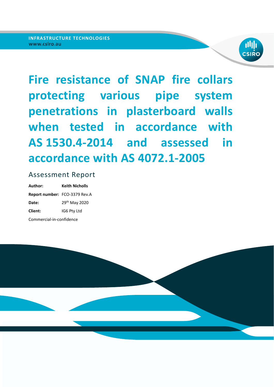

**Fire resistance of SNAP fire collars protecting various pipe system penetrations in plasterboard walls when tested in accordance with AS 1530.4-2014 and assessed in accordance with AS 4072.1-2005** 

## Assessment Report

**Author: Keith Nicholls Report number:**  FCO‐3379 Rev.A **Date:** 29<sup>th</sup> May 2020 **Client:** IG6 Pty Ltd Commercial‐in‐confidence

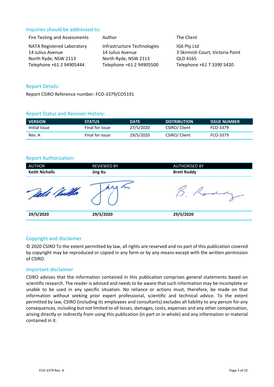### Inquiries should be addressed to:

| Fire Testing and Assessments | Author                      | The Client                       |
|------------------------------|-----------------------------|----------------------------------|
| NATA Registered Laboratory   | Infrastructure Technologies | IG6 Pty Ltd                      |
| 14 Julius Avenue             | 14 Julius Avenue            | 3 Skirmish Court, Victoria Point |
| North Ryde, NSW 2113         | North Ryde, NSW 2113        | QLD 4165                         |
| Telephone +61 2 94905444     | Telephone +61 2 94905500    | Telephone +61 7 3390 5420        |

### Report Details:

Report CSIRO Reference number: FCO‐3379/CO5191

#### Report Status and Revision History:

| <b>VERSION</b> | <b>STATUS</b>   | <b>DATE</b> | <b>DISTRIBUTION</b> | <b>ISSUE NUMBER</b> |
|----------------|-----------------|-------------|---------------------|---------------------|
| Initial Issue  | Final for issue | 27/5/2020   | CSIRO/ Client       | FCO-3379            |
| Rev. A         | Final for issue | 29/5/2020   | CSIRO/ Client       | FCO-3379            |

### Report Authorization:

| <b>AUTHOR</b>         | <b>REVIEWED BY</b> | <b>AUTHORISED BY</b> |
|-----------------------|--------------------|----------------------|
| <b>Keith Nicholls</b> | <b>Jing Xu</b>     | <b>Brett Roddy</b>   |
|                       |                    |                      |
| 29/5/2020             | 29/5/2020          | 29/5/2020            |

### Copyright and disclaimer

© 2020 CSIRO To the extent permitted by law, all rights are reserved and no part of this publication covered by copyright may be reproduced or copied in any form or by any means except with the written permission of CSIRO.

#### Important disclaimer

CSIRO advises that the information contained in this publication comprises general statements based on scientific research. The reader is advised and needs to be aware that such information may be incomplete or unable to be used in any specific situation. No reliance or actions must, therefore, be made on that information without seeking prior expert professional, scientific and technical advice. To the extent permitted by law, CSIRO (including its employees and consultants) excludes all liability to any person for any consequences, including but not limited to all losses, damages, costs, expenses and any other compensation, arising directly or indirectly from using this publication (in part or in whole) and any information or material contained in it.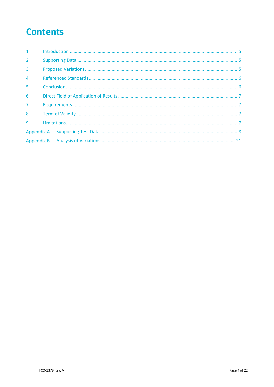# **Contents**

| 1              |  |  |
|----------------|--|--|
| $\overline{2}$ |  |  |
| 3              |  |  |
| $\overline{4}$ |  |  |
| 5              |  |  |
| 6              |  |  |
| $\overline{7}$ |  |  |
| 8              |  |  |
| $\mathbf{q}$   |  |  |
|                |  |  |
|                |  |  |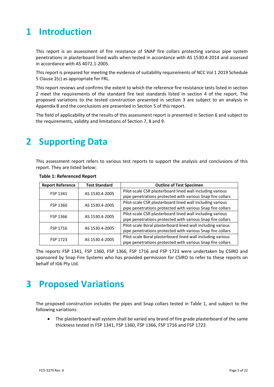## **1 Introduction**

This report is an assessment of fire resistance of SNAP fire collars protecting various pipe system penetrations in plasterboard lined walls when tested in accordance with AS 1530.4‐2014 and assessed in accordance with AS 4072.1‐2005.

This report is prepared for meeting the evidence of suitability requirements of NCC Vol 1 2019 Schedule 5 Clause 2(c) as appropriate for FRL.

This report reviews and confirms the extent to which the reference fire resistance tests listed in section 2 meet the requirements of the standard fire test standards listed in section 4 of the report. The proposed variations to the tested construction presented in section 3 are subject to an analysis in Appendix B and the conclusions are presented in Section 5 of this report.

The field of applicability of the results of this assessment report is presented in Section 6 and subject to the requirements, validity and limitations of Section 7, 8 and 9.

## **2 Supporting Data**

This assessment report refers to various test reports to support the analysis and conclusions of this report. They are listed below;

| <b>Report Reference</b> | <b>Test Standard</b> | <b>Outline of Test Specimen</b>                             |
|-------------------------|----------------------|-------------------------------------------------------------|
| FSP 1341                | AS 1530.4-2005       | Pilot-scale CSR plasterboard lined wall including various   |
|                         |                      | pipe penetrations protected with various Snap fire collars  |
| FSP 1360                | AS 1530.4-2005       | Pilot-scale CSR plasterboard lined wall including various   |
|                         |                      | pipe penetrations protected with various Snap fire collars  |
| FSP 1366                | AS 1530.4-2005       | Pilot-scale CSR plasterboard lined wall including various   |
|                         |                      | pipe penetrations protected with various Snap fire collars  |
| FSP 1716                | AS 1530.4-2005       | Pilot-scale Boral plasterboard lined wall including various |
|                         |                      | pipe penetrations protected with various Snap fire collars  |
|                         |                      | Pilot-scale Boral plasterboard lined wall including various |
| FSP 1723                | AS 1530.4-2005       | pipe penetrations protected with various Snap fire collars  |

**Table 1: Referenced Report**

The reports FSP 1341, FSP 1360, FSP 1366, FSP 1716 and FSP 1723 were undertaken by CSIRO and sponsored by Snap Fire Systems who has provided permission for CSIRO to refer to these reports on behalf of IG6 Pty Ltd.

## **3 Proposed Variations**

The proposed construction includes the pipes and Snap collars tested in Table 1, and subject to the following variations:

• The plasterboard wall system shall be varied any brand of fire grade plasterboard of the same thickness tested in FSP 1341, FSP 1360, FSP 1366, FSP 1716 and FSP 1723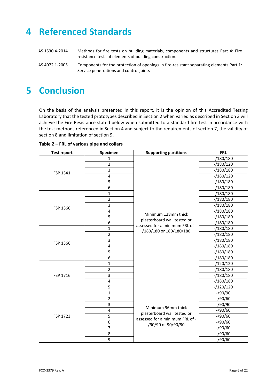# **4 Referenced Standards**

| AS 1530.4-2014 | Methods for fire tests on building materials, components and structures Part 4: Fire    |
|----------------|-----------------------------------------------------------------------------------------|
|                | resistance tests of elements of building construction.                                  |
| AS 4072.1-2005 | Components for the protection of openings in fire-resistant separating elements Part 1: |

Service penetrations and control joints

# **5 Conclusion**

On the basis of the analysis presented in this report, it is the opinion of this Accredited Testing Laboratory that the tested prototypes described in Section 2 when varied as described in Section 3 will achieve the Fire Resistance stated below when submitted to a standard fire test in accordance with the test methods referenced in Section 4 and subject to the requirements of section 7, the validity of section 8 and limitation of section 9.

| <b>Test report</b> | Specimen                | <b>Supporting partitions</b>                                   | <b>FRL</b>  |
|--------------------|-------------------------|----------------------------------------------------------------|-------------|
|                    | 1                       |                                                                | $-/180/180$ |
|                    | $\overline{2}$          |                                                                | $-/180/120$ |
| FSP 1341           | 3                       |                                                                | $-/180/180$ |
|                    | $\overline{\mathbf{4}}$ |                                                                | $-/180/120$ |
|                    | 5                       |                                                                | $-/180/180$ |
|                    | 6                       |                                                                | $-/180/180$ |
|                    | $\mathbf{1}$            |                                                                | $-/180/180$ |
|                    | $\overline{2}$          |                                                                | $-/180/180$ |
|                    | 3                       |                                                                | $-/180/180$ |
| FSP 1360           | 4                       |                                                                | $-/180/180$ |
|                    | 5                       | Minimum 128mm thick                                            | $-/180/180$ |
|                    | 6                       | plasterboard wall tested or<br>assessed for a minimum FRL of - | $-/180/180$ |
|                    | 1                       | /180/180 or 180/180/180                                        | $-/180/180$ |
|                    | $\overline{2}$          |                                                                | $-/180/180$ |
| FSP 1366           | 3                       |                                                                | $-/180/180$ |
|                    | $\pmb{4}$               |                                                                | $-/180/180$ |
|                    | 5                       |                                                                | $-/180/180$ |
|                    | 6                       |                                                                | $-/180/180$ |
|                    | $\mathbf{1}$            |                                                                | $-/120/120$ |
|                    | $\overline{2}$          |                                                                | $-/180/180$ |
| FSP 1716           | 3                       |                                                                | $-/180/180$ |
|                    | $\overline{4}$          |                                                                | $-/180/180$ |
|                    | 5                       |                                                                | $-/120/120$ |
|                    | $\mathbf{1}$            |                                                                | $-$ /90/90  |
|                    | $\overline{2}$          |                                                                | $-$ /90/60  |
|                    | 3                       | Minimum 96mm thick                                             | $-$ /90/90  |
|                    | $\overline{\mathbf{4}}$ | plasterboard wall tested or                                    | $-$ /90/60  |
| FSP 1723           | 5                       | assessed for a minimum FRL of -                                | $-$ /90/60  |
|                    | 6                       | /90/90 or 90/90/90                                             | $-$ /90/60  |
|                    | $\overline{7}$          |                                                                | $-$ /90/60  |
|                    | 8                       |                                                                | $-$ /90/60  |
|                    | 9                       |                                                                | $-$ /90/60  |

**Table 2 – FRL of various pipe and collars**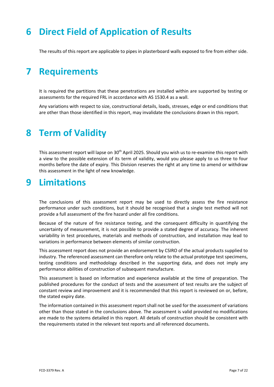## **6 Direct Field of Application of Results**

The results of this report are applicable to pipes in plasterboard walls exposed to fire from either side.

## **7 Requirements**

It is required the partitions that these penetrations are installed within are supported by testing or assessments for the required FRL in accordance with AS 1530.4 as a wall.

Any variations with respect to size, constructional details, loads, stresses, edge or end conditions that are other than those identified in this report, may invalidate the conclusions drawn in this report.

## **8 Term of Validity**

This assessment report will lapse on 30<sup>th</sup> April 2025. Should you wish us to re-examine this report with a view to the possible extension of its term of validity, would you please apply to us three to four months before the date of expiry. This Division reserves the right at any time to amend or withdraw this assessment in the light of new knowledge.

## **9 Limitations**

The conclusions of this assessment report may be used to directly assess the fire resistance performance under such conditions, but it should be recognised that a single test method will not provide a full assessment of the fire hazard under all fire conditions.

Because of the nature of fire resistance testing, and the consequent difficulty in quantifying the uncertainty of measurement, it is not possible to provide a stated degree of accuracy. The inherent variability in test procedures, materials and methods of construction, and installation may lead to variations in performance between elements of similar construction.

This assessment report does not provide an endorsement by CSIRO of the actual products supplied to industry. The referenced assessment can therefore only relate to the actual prototype test specimens, testing conditions and methodology described in the supporting data, and does not imply any performance abilities of construction of subsequent manufacture.

This assessment is based on information and experience available at the time of preparation. The published procedures for the conduct of tests and the assessment of test results are the subject of constant review and improvement and it is recommended that this report is reviewed on or, before, the stated expiry date.

The information contained in this assessment report shall not be used for the assessment of variations other than those stated in the conclusions above. The assessment is valid provided no modifications are made to the systems detailed in this report. All details of construction should be consistent with the requirements stated in the relevant test reports and all referenced documents.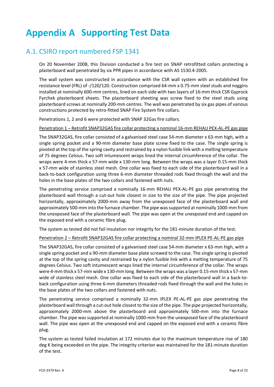# **Appendix A Supporting Test Data**

### A.1. CSIRO report numbered FSP 1341

On 20 November 2008, this Division conducted a fire test on SNAP retrofitted collars protecting a plasterboard wall penetrated by six PPR pipes in accordance with AS 1530.4‐2005.

The wall system was constructed in accordance with the CSR wall system with an established fire resistance level (FRL) of ‐/120/120. Construction comprised 64‐mm x 0.75‐mm steel studs and noggins installed at nominally 600‐mm centres, lined on each side with two layers of 16‐mm thick CSR Gyprock Fyrchek plasterboard sheets. The plasterboard sheeting was screw fixed to the steel studs using plasterboard screws at nominally 200‐mm centres. The wall was penetrated by six gas pipes of various constructions protected by retro‐fitted SNAP Fire System fire collars.

Penetrations 1, 2 and 6 were protected with SNAP 32Gas fire collars.

Penetration 1 – Retrofit SNAP32GAS fire collar protecting a nominal 16‐mm REHAU PEX‐AL‐PE gas pipe

The SNAP32GAS, fire collar consisted of a galvanised steel case 54‐mm diameter x 63‐mm high, with a single spring pocket and a 90-mm diameter base plate screw fixed to the case. The single spring is pivoted at the top of the spring cavity and restrained by a nylon fusible link with a melting temperature of 75 degrees Celsius. Two soft intumescent wraps lined the internal circumference of the collar. The wraps were 4‐mm thick x 57‐mm wide x 130‐mm long. Between the wraps was a layer 0.15‐mm thick x 57-mm wide of stainless steel mesh. One collar was fixed to each side of the plasterboard wall in a back‐to‐back configuration using three 6‐mm diameter threaded rods fixed through the wall and the holes in the base plates of the two collars and fastened with nuts.

The penetrating service comprised a nominally 16‐mm REHAU PEX‐AL‐PE gas pipe penetrating the plasterboard wall through a cut-out hole closest in size to the size of the pipe. The pipe projected horizontally, approximately 2000‐mm away from the unexposed face of the plasterboard wall and approximately 500-mm into the furnace chamber. The pipe was supported at nominally 1000-mm from the unexposed face of the plasterboard wall. The pipe was open at the unexposed end and capped on the exposed end with a ceramic fibre plug.

The system as tested did not fail insulation nor integrity for the 181-minute duration of the test.

Penetration 2 – Retrofit SNAP32GAS fire collar protecting a nominal 32‐mm IPLEX PE‐AL‐PE gas pipe

The SNAP32GAS, fire collar consisted of a galvanised steel case 54‐mm diameter x 63‐mm high, with a single spring pocket and a 90‐mm diameter base plate screwed to the case. The single spring is pivoted at the top of the spring cavity and restrained by a nylon fusible link with a melting temperature of 75 degrees Celsius. Two soft intumescent wraps lined the internal circumference of the collar. The wraps were 4-mm thick x 57-mm wide x 130-mm long. Between the wraps was a layer 0.15-mm thick x 57-mm wide of stainless steel mesh. One collar was fixed to each side of the plasterboard wall in a back-toback configuration using three 6‐mm diameters threaded rods fixed through the wall and the holes in the base plates of the two collars and fastened with nuts.

The penetrating service comprised a nominally 32-mm IPLEX PE-AL-PE gas pipe penetrating the plasterboard wall through a cut‐out hole closest to the size of the pipe. The pipe projected horizontally, approximately 2000‐mm above the plasterboard and approximately 500‐mm into the furnace chamber. The pipe wassupported at nominally 1000‐mm from the unexposed face of the plasterboard wall. The pipe was open at the unexposed end and capped on the exposed end with a ceramic fibre plug.

The system as tested failed insulation at 172 minutes due to the maximum temperature rise of 180 deg K being exceeded on the pipe. The integrity criterion was maintained for the 181-minute duration of the test.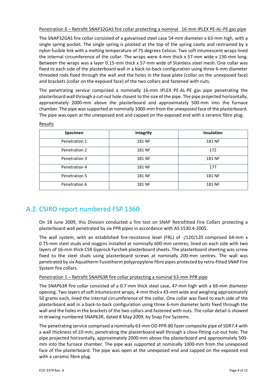Penetration 6 – Retrofit SNAP32GAS fire collar protecting a nominal 16‐mm IPLEX PE‐AL‐PE gas pipe

The SNAP32GAS fire collar consisted of a galvanised steel case 54‐mm diameter x 63‐mm high, with a single spring pocket. The single spring is pivoted at the top of the spring cavity and restrained by a nylon fusible link with a melting temperature of 75 degrees Celsius. Two soft intumescent wraps lined the internal circumference of the collar. The wraps were 4-mm thick x 57-mm wide x 130-mm long. Between the wraps was a layer 0.15‐mm thick x 57‐mm wide of Stainless steel mesh. One collar was fixed to each side of the plasterboard wall in a back-to-back configuration using three 6-mm diameter threaded rods fixed through the wall and the holes in the base plate (collar on the unexposed face) and brackets (collar on the exposed face) of the two collars and fastened with nuts.

The penetrating service comprised a nominally 16-mm IPLEX PE-AL-PE gas pipe penetrating the plasterboard wall through a cut‐out hole closest to the size of the pipe. The pipe projected horizontally, approximately 2000‐mm above the plasterboard and approximately 500‐mm into the furnace chamber. The pipe wassupported at nominally 1000‐mm from the unexposed face of the plasterboard. The pipe was open at the unexposed end and capped on the exposed end with a ceramic fibre plug.

| Specimen      | Integrity | <b>Insulation</b> |
|---------------|-----------|-------------------|
| Penetration 1 | 181 NF    | 181 NF            |
| Penetration 2 | 181 NF    | 172               |
| Penetration 3 | 181 NF    | 181 NF            |
| Penetration 4 | 181 NF    | 177               |
| Penetration 5 | 181 NF    | 181 NF            |
| Penetration 6 | 181 NF    | 181 NF            |

#### Results

### A.2. CSIRO report numbered FSP 1360

On 18 June 2009, this Division conducted a fire test on SNAP Retrofitted Fire Collars protecting a plasterboard wall penetrated by six PPR pipes in accordance with AS 1530.4‐2005.

The wall system, with an established fire-resistance level (FRL) of -/120/120 comprised 64-mm x 0.75-mm steel studs and noggins installed at nominally 600-mm centres, lined on each side with two layers of 16‐mm thick CSR Gyprock Fyrchek plasterboard sheets. The plasterboard sheeting was screw fixed to the steel studs using plasterboard screws at nominally 200-mm centres. The wall was penetrated by six Aquatherm Fusiotherm polypropylene fibre pipes protected by retro‐fitted SNAP Fire System fire collars.

#### Penetration 1 – Retrofit SNAP63R fire collar protecting a nominal 63‐mm PPR pipe

The SNAP63R fire collar consisted of a 0.7‐mm thick steel case, 47‐mm high with a 69‐mm diameter opening. Two layers ofsoft intumescent wraps, 4‐mm thick x 43‐mm wide and weighing approximately 50 grams each, lined the internal circumference of the collar. One collar was fixed to each side of the plasterboard wall in a back‐to‐back configuration using three 6‐mm diameter bolts fixed through the wall and the holes in the brackets of the two collars and fastened with nuts. The collar detail is showed in drawing numbered SNAP63R, dated 8 May 2009, by Snap Fire Systems.

The penetrating service comprised a nominally 63‐mm OD PPR‐80 fazer composite pipe of SDR7.4 with a wall thickness of 10-mm, penetrating the plasterboard wall through a close-fitting cut-out hole. The pipe projected horizontally, approximately 2000‐mm above the plasterboard and approximately 500‐ mm into the furnace chamber. The pipe was supported at nominally 1000‐mm from the unexposed face of the plasterboard. The pipe was open at the unexposed end and capped on the exposed end with a ceramic fibre plug.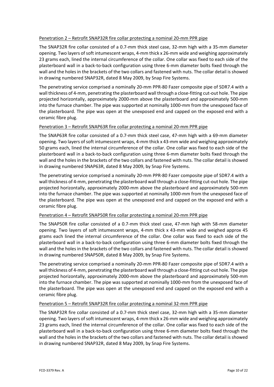#### Penetration 2 – Retrofit SNAP32R fire collar protecting a nominal 20‐mm PPR pipe

The SNAP32R fire collar consisted of a 0.7‐mm thick steel case, 32‐mm high with a 35‐mm diameter opening. Two layers ofsoft intumescent wraps, 4‐mm thick x 26‐mm wide and weighing approximately 23 grams each, lined the internal circumference of the collar. One collar was fixed to each side of the plasterboard wall in a back‐to‐back configuration using three 6‐mm diameter bolts fixed through the wall and the holes in the brackets of the two collars and fastened with nuts. The collar detail is showed in drawing numbered SNAP32R, dated 8 May 2009, by Snap Fire Systems.

The penetrating service comprised a nominally 20‐mm PPR‐80 Fazer composite pipe of SDR7.4 with a wall thickness of 4-mm, penetrating the plasterboard wall through a close-fitting cut-out hole. The pipe projected horizontally, approximately 2000‐mm above the plasterboard and approximately 500‐mm into the furnace chamber. The pipe was supported at nominally 1000‐mm from the unexposed face of the plasterboard. The pipe was open at the unexposed end and capped on the exposed end with a ceramic fibre plug.

#### Penetration 3 – Retrofit SNAP63R fire collar protecting a nominal 20‐mm PPR pipe

The SNAP63R fire collar consisted of a 0.7‐mm thick steel case, 47‐mm high with a 69‐mm diameter opening. Two layers ofsoft intumescent wraps, 4‐mm thick x 43‐mm wide and weighing approximately 50 grams each, lined the internal circumference of the collar. One collar was fixed to each side of the plasterboard wall in a back‐to‐back configuration using three 6‐mm diameter bolts fixed through the wall and the holes in the brackets of the two collars and fastened with nuts. The collar detail is showed in drawing numbered SNAP63R, dated 8 May 2009, by Snap Fire Systems.

The penetrating service comprised a nominally 20‐mm PPR‐80 Fazer composite pipe of SDR7.4 with a wall thickness of 4-mm, penetrating the plasterboard wall through a close-fitting cut-out hole. The pipe projected horizontally, approximately 2000‐mm above the plasterboard and approximately 500‐mm into the furnace chamber. The pipe was supported at nominally 1000‐mm from the unexposed face of the plasterboard. The pipe was open at the unexposed end and capped on the exposed end with a ceramic fibre plug.

#### Penetration 4 – Retrofit SNAP50R fire collar protecting a nominal 20‐mm PPR pipe

The SNAP50R fire collar consisted of a 0.7‐mm thick steel case, 47‐mm high with 58‐mm diameter opening. Two layers of soft intumescent wraps, 4‐mm thick x 43‐mm wide and weighed approx 45 grams each lined the internal circumference of the collar. One collar was fixed to each side of the plasterboard wall in a back‐to‐back configuration using three 6‐mm diameter bolts fixed through the wall and the holes in the brackets of the two collars and fastened with nuts. The collar detail is showed in drawing numbered SNAP50R, dated 8 May 2009, by Snap Fire Systems.

The penetrating service comprised a nominally 20‐mm PPR‐80 Fazer composite pipe of SDR7.4 with a wall thickness of 4-mm, penetrating the plasterboard wall through a close-fitting cut-out hole. The pipe projected horizontally, approximately 2000‐mm above the plasterboard and approximately 500‐mm into the furnace chamber. The pipe was supported at nominally 1000‐mm from the unexposed face of the plasterboard. The pipe was open at the unexposed end and capped on the exposed end with a ceramic fibre plug.

#### Penetration 5 – Retrofit SNAP32R fire collar protecting a nominal 32-mm PPR pipe

The SNAP32R fire collar consisted of a 0.7‐mm thick steel case, 32‐mm high with a 35‐mm diameter opening. Two layers of soft intumescent wraps, 4-mm thick x 26-mm wide and weighing approximately 23 grams each, lined the internal circumference of the collar. One collar was fixed to each side of the plasterboard wall in a back‐to‐back configuration using three 6‐mm diameter bolts fixed through the wall and the holes in the brackets of the two collars and fastened with nuts. The collar detail is showed in drawing numbered SNAP32R, dated 8 May 2009, by Snap Fire Systems.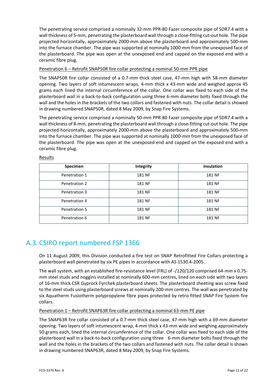The penetrating service comprised a nominally 32‐mm PPR‐80 Fazer composite pipe of SDR7.4 with a wall thickness of 5-mm, penetrating the plasterboard wall through a close-fitting cut-out hole. The pipe projected horizontally, approximately 2000‐mm above the plasterboard and approximately 500‐mm into the furnace chamber. The pipe was supported at nominally 1000‐mm from the unexposed face of the plasterboard. The pipe was open at the unexposed end and capped on the exposed end with a ceramic fibre plug.

### Penetration 6 – Retrofit SNAP50R fire collar protecting a nominal 50‐mm PPR pipe

The SNAP50R fire collar consisted of a 0.7‐mm thick steel case, 47‐mm high with 58‐mm diameter opening. Two layers of soft intumescent wraps, 4‐mm thick x 43‐mm wide and weighed approx 45 grams each lined the internal circumference of the collar. One collar was fixed to each side of the plasterboard wall in a back‐to‐back configuration using three 6‐mm diameter bolts fixed through the wall and the holes in the brackets of the two collars and fastened with nuts. The collar detail is showed in drawing numbered SNAP50R, dated 8 May 2009, by Snap Fire Systems.

The penetrating service comprised a nominally 50‐mm PPR‐80 Fazer composite pipe of SDR7.4 with a wall thickness of 8-mm, penetrating the plasterboard wall through a close-fitting cut-out hole. The pipe projected horizontally, approximately 2000‐mm above the plasterboard and approximately 500‐mm into the furnace chamber. The pipe was supported at nominally 1000‐mm from the unexposed face of the plasterboard. The pipe was open at the unexposed end and capped on the exposed end with a ceramic fibre plug.

| Specimen      | Integrity | <b>Insulation</b> |
|---------------|-----------|-------------------|
| Penetration 1 | 181 NF    | 181 NF            |
| Penetration 2 | 181 NF    | 181 NF            |
| Penetration 3 | 181 NF    | 181 NF            |
| Penetration 4 | 181 NF    | 181 NF            |
| Penetration 5 | 181 NF    | 181 NF            |
| Penetration 6 | 181 NF    | 181 NF            |

#### Results

### A.3. CSIRO report numbered FSP 1366

On 11 August 2009, this Division conducted a fire test on SNAP Retrofitted Fire Collars protecting a plasterboard wall penetrated by six PE pipes in accordance with AS 1530.4‐2005.

The wall system, with an established fire‐resistance level (FRL) of ‐/120/120 comprised 64‐mm x 0.75‐ mm steel studs and noggins installed at nominally 600‐mm centres, lined on each side with two layers of 16‐mm thick CSR Gyprock Fyrchek plasterboard sheets. The plasterboard sheeting was screw fixed to the steel studs using plasterboard screws at nominally 200‐mm centres. The wall was penetrated by six Aquatherm Fusiotherm polypropylene fibre pipes protected by retro-fitted SNAP Fire System fire collars.

#### Penetration 1 – Retrofit SNAP63R fire collar protecting a nominal 63‐mm PE pipe

The SNAP63R fire collar consisted of a 0.7‐mm thick steel case, 47‐mm high with a 69‐mm diameter opening. Two layers of soft intumescent wrap, 4‐mm thick x 43‐mm wide and weighing approximately 50 grams each, lined the internal circumference of the collar. One collar was fixed to each side of the plasterboard wall in a back‐to‐back configuration using three 6‐mm diameter bolts fixed through the wall and the holes in the brackets of the two collars and fastened with nuts. The collar detail is shown in drawing numbered SNAP63R, dated 8 May 2009, by Snap Fire Systems.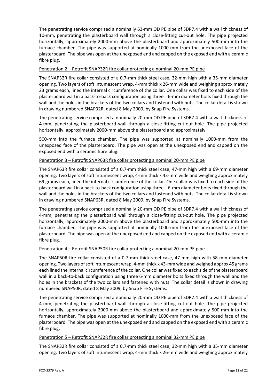The penetrating service comprised a nominally 63‐mm OD PE pipe of SDR7.4 with a wall thickness of 10‐mm, penetrating the plasterboard wall through a close‐fitting cut‐out hole. The pipe projected horizontally, approximately 2000‐mm above the plasterboard and approximately 500‐mm into the furnace chamber. The pipe was supported at nominally 1000‐mm from the unexposed face of the plasterboard. The pipe was open at the unexposed end and capped on the exposed end with a ceramic fibre plug.

#### Penetration 2 – Retrofit SNAP32R fire collar protecting a nominal 20‐mm PE pipe

The SNAP32R fire collar consisted of a 0.7‐mm thick steel case, 32‐mm high with a 35‐mm diameter opening. Two layers of soft intumescent wrap, 4‐mm thick x 26‐mm wide and weighing approximately 23 grams each, lined the internal circumference of the collar. One collar was fixed to each side of the plasterboard wall in a back‐to‐back configuration using three 6‐mm diameter bolts fixed through the wall and the holes in the brackets of the two collars and fastened with nuts. The collar detail is shown in drawing numbered SNAP32R, dated 8 May 2009, by Snap Fire Systems.

The penetrating service comprised a nominally 20‐mm OD PE pipe of SDR7.4 with a wall thickness of 4-mm, penetrating the plasterboard wall through a close-fitting cut-out hole. The pipe projected horizontally, approximately 2000‐mm above the plasterboard and approximately

500-mm into the furnace chamber. The pipe was supported at nominally 1000-mm from the unexposed face of the plasterboard. The pipe was open at the unexposed end and capped on the exposed end with a ceramic fibre plug.

### Penetration 3 – Retrofit SNAP63R fire collar protecting a nominal 20‐mm PE pipe

The SNAP63R fire collar consisted of a 0.7‐mm thick steel case, 47‐mm high with a 69‐mm diameter opening. Two layers of soft intumescent wrap, 4‐mm thick x 43‐mm wide and weighing approximately 69 grams each, lined the internal circumference of the collar. One collar was fixed to each side of the plasterboard wall in a back‐to‐back configuration using three 6‐mm diameter bolts fixed through the wall and the holes in the brackets of the two collars and fastened with nuts. The collar detail is shown in drawing numbered SNAP63R, dated 8 May 2009, by Snap Fire Systems.

The penetrating service comprised a nominally 20-mm OD PE pipe of SDR7.4 with a wall thickness of 4‐mm, penetrating the plasterboard wall through a close‐fitting cut‐out hole. The pipe projected horizontally, approximately 2000-mm above the plasterboard and approximately 500-mm into the furnace chamber. The pipe was supported at nominally 1000-mm from the unexposed face of the plasterboard. The pipe was open at the unexposed end and capped on the exposed end with a ceramic fibre plug.

#### Penetration 4 – Retrofit SNAP50R fire collar protecting a nominal 20‐mm PE pipe

The SNAP50R fire collar consisted of a 0.7‐mm thick steel case, 47‐mm high with 58‐mm diameter opening. Two layers ofsoft intumescent wrap, 4‐mm thick x 43‐mm wide and weighed approx 45 grams each lined the internal circumference of the collar. One collar wasfixed to each side of the plasterboard wall in a back-to-back configuration using three 6-mm diameter bolts fixed through the wall and the holes in the brackets of the two collars and fastened with nuts. The collar detail is shown in drawing numbered SNAP50R, dated 8 May 2009, by Snap Fire Systems.

The penetrating service comprised a nominally 20-mm OD PE pipe of SDR7.4 with a wall thickness of 4-mm, penetrating the plasterboard wall through a close-fitting cut-out hole. The pipe projected horizontally, approximately 2000‐mm above the plasterboard and approximately 500‐mm into the furnace chamber. The pipe was supported at nominally 1000‐mm from the unexposed face of the plasterboard. The pipe was open at the unexposed end and capped on the exposed end with a ceramic fibre plug.

#### Penetration 5 – Retrofit SNAP32R fire collar protecting a nominal 32‐mm PE pipe

The SNAP32R fire collar consisted of a 0.7‐mm thick steel case, 32‐mm high with a 35‐mm diameter opening. Two layers of soft intumescent wrap, 4‐mm thick x 26‐mm wide and weighing approximately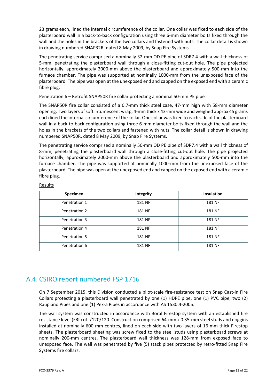23 grams each, lined the internal circumference of the collar. One collar was fixed to each side of the plasterboard wall in a back‐to‐back configuration using three 6‐mm diameter bolts fixed through the wall and the holes in the brackets of the two collars and fastened with nuts. The collar detail is shown in drawing numbered SNAP32R, dated 8 May 2009, by Snap Fire Systems.

The penetrating service comprised a nominally 32‐mm OD PE pipe of SDR7.4 with a wall thickness of 5-mm, penetrating the plasterboard wall through a close-fitting cut-out hole. The pipe projected horizontally, approximately 2000-mm above the plasterboard and approximately 500-mm into the furnace chamber. The pipe was supported at nominally 1000-mm from the unexposed face of the plasterboard. The pipe was open at the unexposed end and capped on the exposed end with a ceramic fibre plug.

#### Penetration 6 – Retrofit SNAP50R fire collar protecting a nominal 50‐mm PE pipe

The SNAP50R fire collar consisted of a 0.7‐mm thick steel case, 47‐mm high with 58‐mm diameter opening. Two layers ofsoft intumescent wrap, 4‐mm thick x 43‐mm wide and weighed approx 45 grams each lined the internal circumference of the collar. One collar was fixed to each side of the plasterboard wall in a back-to-back configuration using three 6-mm diameter bolts fixed through the wall and the holes in the brackets of the two collars and fastened with nuts. The collar detail is shown in drawing numbered SNAP50R, dated 8 May 2009, by Snap Fire Systems.

The penetrating service comprised a nominally 50‐mm OD PE pipe of SDR7.4 with a wall thickness of 8-mm, penetrating the plasterboard wall through a close-fitting cut-out hole. The pipe projected horizontally, approximately 2000‐mm above the plasterboard and approximately 500‐mm into the furnace chamber. The pipe was supported at nominally 1000-mm from the unexposed face of the plasterboard. The pipe was open at the unexposed end and capped on the exposed end with a ceramic fibre plug.

| Specimen      | Integrity     | Insulation |
|---------------|---------------|------------|
| Penetration 1 | <b>181 NF</b> | 181 NF     |
| Penetration 2 | <b>181 NF</b> | 181 NF     |
| Penetration 3 | <b>181 NF</b> | 181 NF     |
| Penetration 4 | <b>181 NF</b> | 181 NF     |
| Penetration 5 | 181 NF        | 181 NF     |
| Penetration 6 | <b>181 NF</b> | 181 NF     |

#### Results

### A.4. CSIRO report numbered FSP 1716

On 7 September 2015, this Division conducted a pilot‐scale fire‐resistance test on Snap Cast‐in Fire Collars protecting a plasterboard wall penetrated by one (1) HDPE pipe, one (1) PVC pipe, two (2) Raupiano Pipes and one (1) Pex‐a Pipes in accordance with AS 1530.4‐2005.

The wall system was constructed in accordance with Boral Firestop system with an established fire resistance level (FRL) of ‐/120/120. Construction comprised 64‐mm x 0.35‐mm steel studs and noggins installed at nominally 600‐mm centres, lined on each side with two layers of 16‐mm thick Firestop sheets. The plasterboard sheeting was screw fixed to the steel studs using plasterboard screws at nominally 200‐mm centres. The plasterboard wall thickness was 128‐mm from exposed face to unexposed face. The wall was penetrated by five (5) stack pipes protected by retro‐fitted Snap Fire Systems fire collars.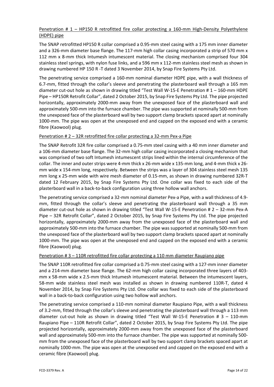### Penetration # 1 – HP150 R retrofitted fire collar protecting a 160-mm High-Density Polyethylene (HDPE) pipe

The SNAP retrofitted HP150 R collar comprised a 0.95‐mm steel casing with a 175 mm inner diameter and a 326-mm diameter base flange. The 117-mm high collar casing incorporated a strip of 570 mm x 112 mm x 8‐mm thick Intumesh intumescent material. The closing mechanism comprised four 304 stainless steel springs, with nylon fuse links, and a 596 mm x 112‐mm stainless steel mesh as shown in drawing numbered HP 150 R ‐T dated 3 November 2014, by Snap Fire Systems Pty Ltd.

The penetrating service comprised a 160-mm nominal diameter HDPE pipe, with a wall thickness of 6.7‐mm, fitted through the collar's sleeve and penetrating the plasterboard wall through a 165 mm diameter cut-out hole as shown in drawing titled "Test Wall W-15-E Penetration # 1 – 160-mm HDPE Pipe – HP150R Retrofit Collar", dated 2 October 2015, by Snap Fire Systems Pty Ltd. The pipe projected horizontally, approximately 2000‐mm away from the unexposed face of the plasterboard wall and approximately 500‐mm into the furnace chamber. The pipe was supported at nominally 500‐mm from the unexposed face of the plasterboard wall by two support clamp brackets spaced apart at nominally 1000‐mm. The pipe was open at the unexposed end and capped on the exposed end with a ceramic fibre (Kaowool) plug.

### Penetration # 2 – 32R retrofitted fire collar protecting a 32‐mm Pex‐a Pipe

The SNAP Retrofit 32R fire collar comprised a 0.75‐mm steel casing with a 40 mm inner diameter and a 106‐mm diameter base flange. The 32‐mm high collar casing incorporated a closing mechanism that was comprised of two soft Intumesh intumescent strips lined within the internal circumference of the collar. The inner and outer strips were 4‐mm thick x 26‐mm wide x 135‐mm long, and 4‐mm thick x 26‐ mm wide x 154‐mm long, respectively. Between the strips was a layer of 304 stainless steel mesh 135 mm long x 25‐mm wide with wire mesh diameter of 0.15‐mm, as shown in drawing numbered 32R‐T dated 12 February 2015, by Snap Fire Systems Pty Ltd. One collar was fixed to each side of the plasterboard wall in a back‐to‐back configuration using three hollow wall anchors.

The penetrating service comprised a 32‐mm nominal diameter Pex‐a Pipe, with a wall thickness of 4.9‐ mm, fitted through the collar's sleeve and penetrating the plasterboard wall through a 35 mm diameter cut-out hole as shown in drawing titled "Test Wall W-15-E Penetration # 2 - 32-mm Pex-A Pipe – 32R Retrofit Collar", dated 2 October 2015, by Snap Fire Systems Pty Ltd. The pipe projected horizontally, approximately 2000‐mm away from the unexposed face of the plasterboard wall and approximately 500‐mm into the furnace chamber. The pipe was supported at nominally 500‐mm from the unexposed face of the plasterboard wall by two support clamp brackets spaced apart at nominally 1000‐mm. The pipe was open at the unexposed end and capped on the exposed end with a ceramic fibre (Kaowool) plug.

#### Penetration # 3 – 110R retrofitted fire collar protecting a 110 mm diameter Raupiano pipe

The SNAP 110R retrofitted fire collar comprised a 0.75‐mm steel casing with a 127‐mm inner diameter and a 214‐mm diameter base flange. The 62‐mm high collar casing incorporated three layers of 403‐ mm x 58‐mm wide x 2.5‐mm thick Intumesh intumescent material. Between the intumescent layers, 58-mm wide stainless steel mesh was installed as shown in drawing numbered 110R-T, dated 4 November 2014, by Snap Fire Systems Pty Ltd. One collar was fixed to each side of the plasterboard wall in a back-to-back configuration using two hollow wall anchors.

The penetrating service comprised a 110‐mm nominal diameter Raupiano Pipe, with a wall thickness of 3.2‐mm, fitted through the collar's sleeve and penetrating the plasterboard wall through a 113 mm diameter cut-out hole as shown in drawing titled "Test Wall W-15-E Penetration # 3 - 110-mm Raupiano Pipe – 110R Retrofit Collar", dated 2 October 2015, by Snap Fire Systems Pty Ltd. The pipe projected horizontally, approximately 2000‐mm away from the unexposed face of the plasterboard wall and approximately 500-mm into the furnace chamber. The pipe was supported at nominally 500mm from the unexposed face of the plasterboard wall by two support clamp brackets spaced apart at nominally 1000‐mm. The pipe was open at the unexposed end and capped on the exposed end with a ceramic fibre (Kaowool) plug.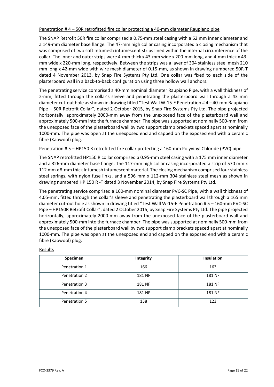#### Penetration # 4 – 50R retrofitted fire collar protecting a 40‐mm diameter Raupiano pipe

The SNAP Retrofit 50R fire collar comprised a 0.75‐mm steel casing with a 62 mm inner diameter and a 149‐mm diameter base flange. The 47‐mm high collar casing incorporated a closing mechanism that was comprised of two soft Intumesh intumescent strips lined within the internal circumference of the collar. The inner and outer strips were 4‐mm thick x 43‐mm wide x 200‐mm long, and 4‐mm thick x 43‐ mm wide x 220‐mm long, respectively. Between the strips was a layer of 304 stainless steel mesh 210 mm long x 42‐mm wide with wire mesh diameter of 0.15‐mm, as shown in drawing numbered 50R‐T dated 4 November 2013, by Snap Fire Systems Pty Ltd. One collar was fixed to each side of the plasterboard wall in a back‐to‐back configuration using three hollow wall anchors.

The penetrating service comprised a 40‐mm nominal diameter Raupiano Pipe, with a wall thickness of 2‐mm, fitted through the collar's sleeve and penetrating the plasterboard wall through a 43 mm diameter cut‐out hole asshown in drawing titled "Test Wall W‐15‐E Penetration # 4 – 40‐mm Raupiano Pipe – 50R Retrofit Collar", dated 2 October 2015, by Snap Fire Systems Pty Ltd. The pipe projected horizontally, approximately 2000‐mm away from the unexposed face of the plasterboard wall and approximately 500‐mm into the furnace chamber. The pipe was supported at nominally 500‐mm from the unexposed face of the plasterboard wall by two support clamp brackets spaced apart at nominally 1000‐mm. The pipe was open at the unexposed end and capped on the exposed end with a ceramic fibre (Kaowool) plug.

#### Penetration # 5 – HP150 R retrofitted fire collar protecting a 160-mm Polyvinyl Chloride (PVC) pipe

The SNAP retrofitted HP150 R collar comprised a 0.95‐mm steel casing with a 175 mm inner diameter and a 326-mm diameter base flange. The 117-mm high collar casing incorporated a strip of 570 mm x 112 mm x 8-mm thick Intumesh intumescent material. The closing mechanism comprised four stainless steel springs, with nylon fuse links, and a 596 mm x 112-mm 304 stainless steel mesh as shown in drawing numbered HP 150 R ‐T dated 3 November 2014, by Snap Fire Systems Pty Ltd.

The penetrating service comprised a 160‐mm nominal diameter PVC‐SC Pipe, with a wall thickness of 4.05-mm, fitted through the collar's sleeve and penetrating the plasterboard wall through a 165 mm diameter cut-out hole as shown in drawing titled "Test Wall W-15-E Penetration # 5 - 160-mm PVC-SC Pipe – HP150R Retrofit Collar", dated 2 October 2015, by Snap Fire Systems Pty Ltd. The pipe projected horizontally, approximately 2000‐mm away from the unexposed face of the plasterboard wall and approximately 500‐mm into the furnace chamber. The pipe was supported at nominally 500‐mm from the unexposed face of the plasterboard wall by two support clamp brackets spaced apart at nominally 1000‐mm. The pipe was open at the unexposed end and capped on the exposed end with a ceramic fibre (Kaowool) plug.

| Specimen      | Integrity | Insulation |
|---------------|-----------|------------|
| Penetration 1 | 166       | 163        |
| Penetration 2 | 181 NF    | 181 NF     |
| Penetration 3 | 181 NF    | 181 NF     |
| Penetration 4 | 181 NF    | 181 NF     |
| Penetration 5 | 138       | 123        |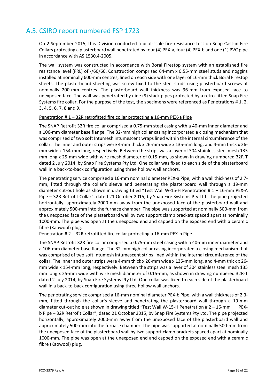### A.5. CSIRO report numbered FSP 1723

On 2 September 2015, this Division conducted a pilot‐scale fire‐resistance test on Snap Cast‐in Fire Collars protecting a plasterboard wall penetrated by four (4) PEX‐a, four (4) PEX‐b and one (1) PVC pipe in accordance with AS 1530.4‐2005.

The wall system was constructed in accordance with Boral Firestop system with an established fire resistance level (FRL) of ‐/60/60. Construction comprised 64‐mm x 0.55‐mm steel studs and noggins installed at nominally 600‐mm centres, lined on each side with one layer of 16‐mm thick Boral Firestop sheets. The plasterboard sheeting was screw fixed to the steel studs using plasterboard screws at nominally 200‐mm centres. The plasterboard wall thickness was 96‐mm from exposed face to unexposed face. The wall was penetrated by nine (9) stack pipes protected by a retro‐fitted Snap Fire Systems fire collar. For the purpose of the test, the specimens were referenced as Penetrations # 1, 2, 3, 4, 5, 6, 7, 8 and 9.

#### Penetration # 1 – 32R retrofitted fire collar protecting a 16‐mm PEX‐a Pipe

The SNAP Retrofit 32R fire collar comprised a 0.75‐mm steel casing with a 40‐mm inner diameter and a 106‐mm diameter base flange. The 32‐mm high collar casing incorporated a closing mechanism that was comprised of two soft Intumesh intumescent wraps lined within the internal circumference of the collar. The inner and outer strips were 4‐mm thick x 26‐mm wide x 135‐mm long, and 4‐mm thick x 26‐ mm wide x 154‐mm long, respectively. Between the strips was a layer of 304 stainless steel mesh 135 mm long x 25‐mm wide with wire mesh diameter of 0.15‐mm, as shown in drawing numbered 32R‐T dated 2 July 2014, by Snap Fire Systems Pty Ltd. One collar was fixed to each side of the plasterboard wall in a back-to-back configuration using three hollow wall anchors.

The penetrating service comprised a 16‐mm nominal diameter PEX‐a Pipe, with a wall thickness of 2.7‐ mm, fitted through the collar's sleeve and penetrating the plasterboard wall through a 19‐mm diameter cut‐out hole as shown in drawing titled "Test Wall W‐15‐H Penetration # 1 – 16‐mm PEX‐A Pipe – 32R Retrofit Collar", dated 21 October 2015, by Snap Fire Systems Pty Ltd. The pipe projected horizontally, approximately 2000‐mm away from the unexposed face of the plasterboard wall and approximately 500‐mm into the furnace chamber. The pipe was supported at nominally 500‐mm from the unexposed face of the plasterboard wall by two support clamp brackets spaced apart at nominally 1000-mm. The pipe was open at the unexposed end and capped on the exposed end with a ceramic fibre (Kaowool) plug.

#### Penetration # 2 – 32R retrofitted fire collar protecting a 16‐mm PEX‐b Pipe

The SNAP Retrofit 32R fire collar comprised a 0.75‐mm steel casing with a 40‐mm inner diameter and a 106‐mm diameter base flange. The 32‐mm high collar casing incorporated a closing mechanism that was comprised of two soft Intumesh intumescent strips lined within the internal circumference of the collar. The inner and outer strips were 4‐mm thick x 26‐mm wide x 135‐mm long, and 4‐mm thick x 26‐ mm wide x 154‐mm long, respectively. Between the strips was a layer of 304 stainless steel mesh 135 mm long x 25‐mm wide with wire mesh diameter of 0.15‐mm, as shown in drawing numbered 32R‐T dated 2 July 2014, by Snap Fire Systems Pty Ltd. One collar was fixed to each side of the plasterboard wall in a back-to-back configuration using three hollow wall anchors.

The penetrating service comprised a 16‐mm nominal diameter PEX‐b Pipe, with a wall thickness of 2.3‐ mm, fitted through the collar's sleeve and penetrating the plasterboard wall through a 19‐mm diameter cut-out hole as shown in drawing titled "Test Wall W-15-H Penetration # 2 – 16-mm PEXb Pipe – 32R Retrofit Collar", dated 21 October 2015, by Snap Fire Systems Pty Ltd. The pipe projected horizontally, approximately 2000‐mm away from the unexposed face of the plasterboard wall and approximately 500‐mm into the furnace chamber. The pipe was supported at nominally 500‐mm from the unexposed face of the plasterboard wall by two support clamp brackets spaced apart at nominally 1000‐mm. The pipe was open at the unexposed end and capped on the exposed end with a ceramic fibre (Kaowool) plug.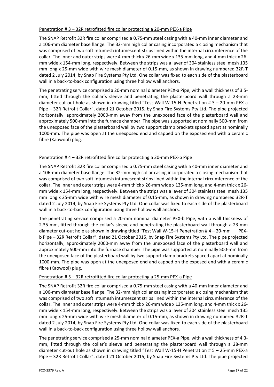#### Penetration # 3 – 32R retrofitted fire collar protecting a 20‐mm PEX‐a Pipe

The SNAP Retrofit 32R fire collar comprised a 0.75‐mm steel casing with a 40‐mm inner diameter and a 106‐mm diameter base flange. The 32‐mm high collar casing incorporated a closing mechanism that was comprised of two soft Intumesh intumescent strips lined within the internal circumference of the collar. The inner and outer strips were 4‐mm thick x 26‐mm wide x 135‐mm long, and 4‐mm thick x 26‐ mm wide x 154‐mm long, respectively. Between the strips was a layer of 304 stainless steel mesh 135 mm long x 25‐mm wide with wire mesh diameter of 0.15‐mm, as shown in drawing numbered 32R‐T dated 2 July 2014, by Snap Fire Systems Pty Ltd. One collar was fixed to each side of the plasterboard wall in a back-to-back configuration using three hollow wall anchors.

The penetrating service comprised a 20-mm nominal diameter PEX-a Pipe, with a wall thickness of 3.5– mm, fitted through the collar's sleeve and penetrating the plasterboard wall through a 23‐mm diameter cut‐out hole as shown in drawing titled "Test Wall W‐15‐H Penetration # 3 – 20‐mm PEX‐a Pipe – 32R Retrofit Collar", dated 21 October 2015, by Snap Fire Systems Pty Ltd. The pipe projected horizontally, approximately 2000‐mm away from the unexposed face of the plasterboard wall and approximately 500‐mm into the furnace chamber. The pipe was supported at nominally 500‐mm from the unexposed face of the plasterboard wall by two support clamp brackets spaced apart at nominally 1000‐mm. The pipe was open at the unexposed end and capped on the exposed end with a ceramic fibre (Kaowool) plug.

### Penetration # 4 – 32R retrofitted fire collar protecting a 20‐mm PEX‐b Pipe

The SNAP Retrofit 32R fire collar comprised a 0.75‐mm steel casing with a 40‐mm inner diameter and a 106‐mm diameter base flange. The 32‐mm high collar casing incorporated a closing mechanism that was comprised of two soft Intumesh intumescent strips lined within the internal circumference of the collar. The inner and outer strips were 4‐mm thick x 26‐mm wide x 135‐mm long, and 4‐mm thick x 26‐ mm wide x 154‐mm long, respectively. Between the strips was a layer of 304 stainless steel mesh 135 mm long x 25‐mm wide with wire mesh diameter of 0.15‐mm, as shown in drawing numbered 32R‐T dated 2 July 2014, by Snap Fire Systems Pty Ltd. One collar was fixed to each side of the plasterboard wall in a back-to-back configuration using three hollow wall anchors.

The penetrating service comprised a 20‐mm nominal diameter PEX‐b Pipe, with a wall thickness of 2.35-mm, fitted through the collar's sleeve and penetrating the plasterboard wall through a 23-mm diameter cut-out hole as shown in drawing titled "Test Wall W-15-H Penetration # 4 – 20-mm PEXb Pipe – 32R Retrofit Collar", dated 21 October 2015, by Snap Fire Systems Pty Ltd. The pipe projected horizontally, approximately 2000‐mm away from the unexposed face of the plasterboard wall and approximately 500‐mm into the furnace chamber. The pipe was supported at nominally 500‐mm from the unexposed face of the plasterboard wall by two support clamp brackets spaced apart at nominally 1000‐mm. The pipe was open at the unexposed end and capped on the exposed end with a ceramic fibre (Kaowool) plug.

#### Penetration # 5 – 32R retrofitted fire collar protecting a 25‐mm PEX‐a Pipe

The SNAP Retrofit 32R fire collar comprised a 0.75‐mm steel casing with a 40‐mm inner diameter and a 106‐mm diameter base flange. The 32‐mm high collar casing incorporated a closing mechanism that was comprised of two soft Intumesh intumescent strips lined within the internal circumference of the collar. The inner and outer strips were 4‐mm thick x 26‐mm wide x 135‐mm long, and 4‐mm thick x 26‐ mm wide x 154‐mm long, respectively. Between the strips was a layer of 304 stainless steel mesh 135 mm long x 25‐mm wide with wire mesh diameter of 0.15‐mm, as shown in drawing numbered 32R‐T dated 2 July 2014, by Snap Fire Systems Pty Ltd. One collar was fixed to each side of the plasterboard wall in a back-to-back configuration using three hollow wall anchors.

The penetrating service comprised a 25-mm nominal diameter PEX-a Pipe, with a wall thickness of 4.3mm, fitted through the collar's sleeve and penetrating the plasterboard wall through a 28‐mm diameter cut‐out hole as shown in drawing titled "Test Wall W‐15‐H Penetration # 5 – 25‐mm PEX‐a Pipe – 32R Retrofit Collar", dated 21 October 2015, by Snap Fire Systems Pty Ltd. The pipe projected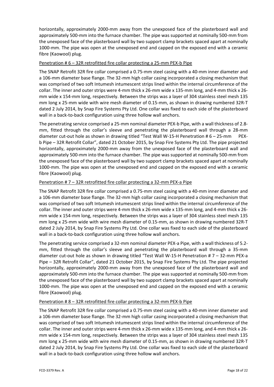horizontally, approximately 2000‐mm away from the unexposed face of the plasterboard wall and approximately 500‐mm into the furnace chamber. The pipe was supported at nominally 500‐mm from the unexposed face of the plasterboard wall by two support clamp brackets spaced apart at nominally 1000-mm. The pipe was open at the unexposed end and capped on the exposed end with a ceramic fibre (Kaowool) plug.

#### Penetration # 6 – 32R retrofitted fire collar protecting a 25‐mm PEX‐b Pipe

The SNAP Retrofit 32R fire collar comprised a 0.75‐mm steel casing with a 40‐mm inner diameter and a 106‐mm diameter base flange. The 32‐mm high collar casing incorporated a closing mechanism that was comprised of two soft Intumesh intumescent strips lined within the internal circumference of the collar. The inner and outer strips were 4‐mm thick x 26‐mm wide x 135‐mm long, and 4‐mm thick x 26‐ mm wide x 154‐mm long, respectively. Between the strips was a layer of 304 stainless steel mesh 135 mm long x 25-mm wide with wire mesh diameter of 0.15-mm, as shown in drawing numbered 32R-T dated 2 July 2014, by Snap Fire Systems Pty Ltd. One collar was fixed to each side of the plasterboard wall in a back-to-back configuration using three hollow wall anchors.

The penetrating service comprised a 25-mm nominal diameter PEX-b Pipe, with a wall thickness of 2.8mm, fitted through the collar's sleeve and penetrating the plasterboard wall through a 28‐mm diameter cut-out hole as shown in drawing titled "Test Wall W-15-H Penetration # 6 – 25-mm PEXb Pipe – 32R Retrofit Collar", dated 21 October 2015, by Snap Fire Systems Pty Ltd. The pipe projected horizontally, approximately 2000‐mm away from the unexposed face of the plasterboard wall and approximately 500‐mm into the furnace chamber. The pipe was supported at nominally 500‐mm from the unexposed face of the plasterboard wall by two support clamp brackets spaced apart at nominally 1000-mm. The pipe was open at the unexposed end and capped on the exposed end with a ceramic fibre (Kaowool) plug.

### Penetration # 7 – 32R retrofitted fire collar protecting a 32-mm PEX-a Pipe

The SNAP Retrofit 32R fire collar comprised a 0.75‐mm steel casing with a 40‐mm inner diameter and a 106‐mm diameter base flange. The 32‐mm high collar casing incorporated a closing mechanism that was comprised of two soft Intumesh intumescent strips lined within the internal circumference of the collar. The inner and outer strips were 4‐mm thick x 26‐mm wide x 135‐mm long, and 4‐mm thick x 26‐ mm wide x 154‐mm long, respectively. Between the strips was a layer of 304 stainless steel mesh 135 mm long x 25-mm wide with wire mesh diameter of 0.15-mm, as shown in drawing numbered 32R-T dated 2 July 2014, by Snap Fire Systems Pty Ltd. One collar was fixed to each side of the plasterboard wall in a back-to-back configuration using three hollow wall anchors.

The penetrating service comprised a 32‐mm nominal diameter PEX‐a Pipe, with a wall thickness of 5.2‐ mm, fitted through the collar's sleeve and penetrating the plasterboard wall through a 35‐mm diameter cut-out hole as shown in drawing titled "Test Wall W-15-H Penetration # 7 – 32-mm PEX-a Pipe – 32R Retrofit Collar", dated 21 October 2015, by Snap Fire Systems Pty Ltd. The pipe projected horizontally, approximately 2000‐mm away from the unexposed face of the plasterboard wall and approximately 500‐mm into the furnace chamber. The pipe was supported at nominally 500‐mm from the unexposed face of the plasterboard wall by two support clamp brackets spaced apart at nominally 1000-mm. The pipe was open at the unexposed end and capped on the exposed end with a ceramic fibre (Kaowool) plug.

#### Penetration # 8 – 32R retrofitted fire collar protecting a 32‐mm PEX‐b Pipe

The SNAP Retrofit 32R fire collar comprised a 0.75‐mm steel casing with a 40‐mm inner diameter and a 106‐mm diameter base flange. The 32‐mm high collar casing incorporated a closing mechanism that was comprised of two soft Intumesh intumescent strips lined within the internal circumference of the collar. The inner and outer strips were 4‐mm thick x 26‐mm wide x 135‐mm long, and 4‐mm thick x 26‐ mm wide x 154‐mm long, respectively. Between the strips was a layer of 304 stainless steel mesh 135 mm long x 25-mm wide with wire mesh diameter of 0.15-mm, as shown in drawing numbered 32R-T dated 2 July 2014, by Snap Fire Systems Pty Ltd. One collar was fixed to each side of the plasterboard wall in a back-to-back configuration using three hollow wall anchors.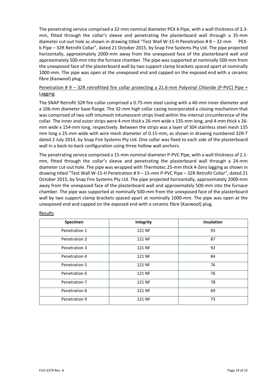The penetrating service comprised a 32‐mm nominal diameter PEX‐b Pipe, with a wall thickness of 3.3‐ mm, fitted through the collar's sleeve and penetrating the plasterboard wall through a 35‐mm diameter cut-out hole as shown in drawing titled "Test Wall W-15-H Penetration # 8 - 32-mm PEXb Pipe – 32R Retrofit Collar", dated 21 October 2015, by Snap Fire Systems Pty Ltd. The pipe projected horizontally, approximately 2000‐mm away from the unexposed face of the plasterboard wall and approximately 500‐mm into the furnace chamber. The pipe was supported at nominally 500‐mm from the unexposed face of the plasterboard wall by two support clamp brackets spaced apart at nominally 1000-mm. The pipe was open at the unexposed end and capped on the exposed end with a ceramic fibre (Kaowool) plug.

### Penetration # 9 – 32R retrofitted fire collar protecting a 21.6-mm Polyvinyl Chloride (P-PVC) Pipe + Lagging

The SNAP Retrofit 32R fire collar comprised a 0.75‐mm steel casing with a 40‐mm inner diameter and a 106‐mm diameter base flange. The 32‐mm high collar casing incorporated a closing mechanism that was comprised of two soft Intumesh intumescent strips lined within the internal circumference of the collar. The inner and outer strips were 4‐mm thick x 26‐mm wide x 135‐mm long, and 4‐mm thick x 26‐ mm wide x 154‐mm long, respectively. Between the strips was a layer of 304 stainless steel mesh 135 mm long x 25‐mm wide with wire mesh diameter of 0.15‐mm, as shown in drawing numbered 32R‐T dated 2 July 2014, by Snap Fire Systems Pty Ltd. One collar was fixed to each side of the plasterboard wall in a back-to-back configuration using three hollow wall anchors.

The penetrating service comprised a 15-mm nominal diameter P-PVC Pipe, with a wall thickness of 2.1mm, fitted through the collar's sleeve and penetrating the plasterboard wall through a 24‐mm diameter cut‐out hole. The pipe was wrapped with Thermotec 25‐mm thick 4‐Zero lagging as shown in drawing titled "Test Wall W-15-H Penetration #9 - 15-mm P-PVC Pipe - 32R Retrofit Collar", dated 21 October 2015, by Snap Fire Systems Pty Ltd. The pipe projected horizontally, approximately 2000‐mm away from the unexposed face of the plasterboard wall and approximately 500‐mm into the furnace chamber. The pipe was supported at nominally 500‐mm from the unexposed face of the plasterboard wall by two support clamp brackets spaced apart at nominally 1000-mm. The pipe was open at the unexposed end and capped on the exposed end with a ceramic fibre (Kaowool) plug.

| Specimen      | Integrity | <b>Insulation</b> |
|---------------|-----------|-------------------|
| Penetration 1 | 121 NF    | 93                |
| Penetration 2 | 121 NF    | 87                |
| Penetration 3 | 121 NF    | 92                |
| Penetration 4 | 121 NF    | 84                |
| Penetration 5 | 121 NF    | 76                |
| Penetration 6 | 121 NF    | 76                |
| Penetration 7 | 121 NF    | 78                |
| Penetration 8 | 121 NF    | 69                |
| Penetration 9 | 121 NF    | 73                |

Results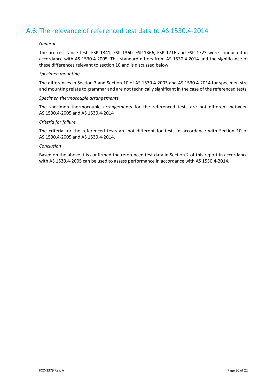### A.6. The relevance of referenced test data to AS 1530.4‐2014

#### *General*

The fire resistance tests FSP 1341, FSP 1360, FSP 1366, FSP 1716 and FSP 1723 were conducted in accordance with AS 1530.4‐2005. This standard differs from AS 1530.4 2014 and the significance of these differences relevant to section 10 and is discussed below.

#### *Specimen mounting*

The differences in Section 3 and Section 10 of AS 1530.4‐2005 and AS 1530.4‐2014 for specimen size and mounting relate to grammar and are not technically significant in the case of the referenced tests.

#### *Specimen thermocouple arrangements*

The specimen thermocouple arrangements for the referenced tests are not different between AS 1530.4‐2005 and AS 1530.4‐2014

#### *Criteria for failure*

The criteria for the referenced tests are not different for tests in accordance with Section 10 of AS 1530.4‐2005 and AS 1530.4‐2014.

#### *Conclusion*

Based on the above it is confirmed the referenced test data in Section 2 of this report in accordance with AS 1530.4‐2005 can be used to assess performance in accordance with AS 1530.4‐2014.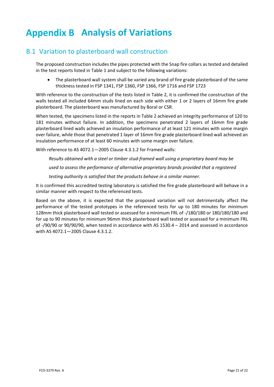# **Analysis of Variations**

### B.1 Variation to plasterboard wall construction

The proposed construction includes the pipes protected with the Snap fire collars as tested and detailed in the test reports listed in Table 1 and subject to the following variations:

 The plasterboard wall system shall be varied any brand of fire grade plasterboard of the same thickness tested in FSP 1341, FSP 1360, FSP 1366, FSP 1716 and FSP 1723

With reference to the construction of the tests listed in Table 2, it is confirmed the construction of the walls tested all included 64mm studs lined on each side with either 1 or 2 layers of 16mm fire grade plasterboard. The plasterboard was manufactured by Boral or CSR.

When tested, the specimens listed in the reports in Table 2 achieved an integrity performance of 120 to 181 minutes without failure. In addition, the specimens penetrated 2 layers of 16mm fire grade plasterboard lined walls achieved an insulation performance of at least 121 minutes with some margin over failure, while those that penetrated 1 layer of 16mm fire grade plasterboard lined wall achieved an insulation performance of at least 60 minutes with some margin over failure.

With reference to AS 4072.1—2005 Clause 4.3.1.2 for Framed walls:

*Results obtained with a steel or timber stud‐framed wall using a proprietary board may be*

*used to assess the performance of alternative proprietary brands provided that a registered*

*testing authority is satisfied that the products behave in a similar manner.*

It is confirmed this accredited testing laboratory is satisfied the fire grade plasterboard will behave in a similar manner with respect to the referenced tests.

Based on the above, it is expected that the proposed variation will not detrimentally affect the performance of the tested prototypes in the referenced tests for up to 180 minutes for minimum 128mm thick plasterboard wall tested or assessed for a minimum FRL of ‐/180/180 or 180/180/180 and for up to 90 minutes for minimum 96mm thick plasterboard wall tested or assessed for a minimum FRL of ‐/90/90 or 90/90/90, when tested in accordance with AS 1530.4 – 2014 and assessed in accordance with AS 4072.1—2005 Clause 4.3.1.2.